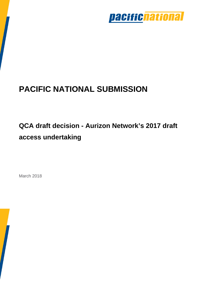

# **PACIFIC NATIONAL SUBMISSION**

# **QCA draft decision - Aurizon Network's 2017 draft access undertaking**

March 2018

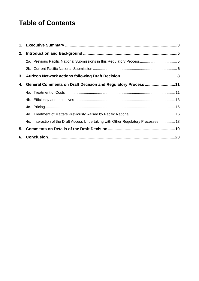## **Table of Contents**

| 2. |                                                                                    |  |
|----|------------------------------------------------------------------------------------|--|
|    |                                                                                    |  |
|    |                                                                                    |  |
|    |                                                                                    |  |
| 4. | General Comments on Draft Decision and Regulatory Process11                        |  |
|    |                                                                                    |  |
|    |                                                                                    |  |
|    |                                                                                    |  |
|    |                                                                                    |  |
|    | 4e. Interaction of the Draft Access Undertaking with Other Regulatory Processes 18 |  |
|    |                                                                                    |  |
|    |                                                                                    |  |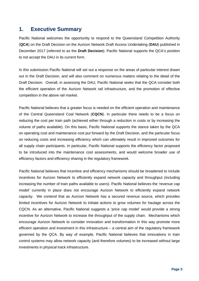## **1. Executive Summary**

Pacific National welcomes the opportunity to respond to the Queensland Competition Authority (**QCA**) on the Draft Decision on the Aurizon Network Draft Access Undertaking (**DAU**) published in December 2017 (referred to as the **Draft Decision**). Pacific National supports the QCA's position to not accept the DAU in its current form.

In this submission Pacific National will set out a response on the areas of particular interest drawn out in the Draft Decision, and will also comment on numerous matters relating to the detail of the Draft Decision. Overall, in assessing the DAU, Pacific National seeks that the QCA consider both the efficient operation of the Aurizon Network rail infrastructure, and the promotion of effective competition in the above rail market.

Pacific National believes that a greater focus is needed on the efficient operation and maintenance of the Central Queensland Coal Network (**CQCN**). In particular there needs to be a focus on reducing the cost per train path (achieved either through a reduction in costs or by increasing the volume of paths available). On this basis, Pacific National supports the stance taken by the QCA on operating cost and maintenance cost put forward by the Draft Decision, and the particular focus on reducing costs and increasing efficiency which can ultimately result in improved outcomes for all supply chain participants. In particular, Pacific National supports the efficiency factor proposed to be introduced into the maintenance cost assessments, and would welcome broader use of efficiency factors and efficiency sharing in the regulatory framework.

Pacific National believes that incentive and efficiency mechanisms should be broadened to include incentives for Aurizon Network to efficiently expand network capacity and throughput (including increasing the number of train paths available to users). Pacific National believes the 'revenue cap model' currently in place does not encourage Aurizon Network to efficiently expand network capacity. We contend that as Aurizon Network has a secured revenue source, which provides limited incentives for Aurizon Network to initiate actions to grow volumes for haulage across the CQCN. As an alternative, Pacific National suggests a 'price cap model' would provide a strong incentive for Aurizon Network to increase the throughput of the supply chain. Mechanisms which encourage Aurizon Network to consider innovation and transformation in this way promote more efficient operation and investment in this infrastructure – a central aim of the regulatory framework governed by the QCA. By way of example, Pacific National believes that innovations in train control systems may allow network capacity (and therefore volumes) to be increased without large investments in physical track infrastructure.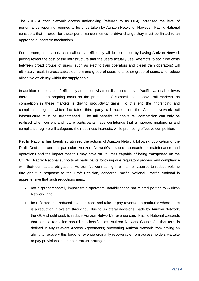The 2016 Aurizon Network access undertaking (referred to as **UT4**) increased the level of performance reporting required to be undertaken by Aurizon Network. However, Pacific National considers that in order for these performance metrics to drive change they must be linked to an appropriate incentive mechanism.

Furthermore, coal supply chain allocative efficiency will be optimised by having Aurizon Network pricing reflect the cost of the infrastructure that the users actually use. Attempts to socialise costs between broad groups of users (such as electric train operators and diesel train operators) will ultimately result in cross subsidies from one group of users to another group of users, and reduce allocative efficiency within the supply chain.

In addition to the issue of efficiency and incentivisation discussed above, Pacific National believes there must be an ongoing focus on the promotion of competition in above rail markets, as competition in these markets is driving productivity gains. To this end the ringfencing and compliance regime which facilitates third party rail access on the Aurizon Network rail infrastructure must be strengthened. The full benefits of above rail competition can only be realised when current and future participants have confidence that a rigorous ringfencing and compliance regime will safeguard their business interests, while promoting effective competition.

Pacific National has keenly scrutinised the actions of Aurizon Network following publication of the Draft Decision, and in particular Aurizon Network's revised approach to maintenance and operations and the impact that this may have on volumes capable of being transported on the CQCN. Pacific National supports all participants following due regulatory process and compliance with their contractual obligations. Aurizon Network acting in a manner assured to reduce volume throughput in response to the Draft Decision, concerns Pacific National. Pacific National is apprehensive that such reductions must:

- not disproportionately impact train operators, notably those not related parties to Aurizon Network; and
- be reflected in a reduced revenue caps and take or pay revenue. In particular where there is a reduction in system throughput due to unilateral decisions made by Aurizon Network, the QCA should seek to reduce Aurizon Network's revenue cap. Pacific National contends that such a reduction should be classified as 'Aurizon Network Cause' (as that term is defined in any relevant Access Agreements) preventing Aurizon Network from having an ability to recovery this forgone revenue ordinarily recoverable from access holders via take or pay provisions in their contractual arrangements.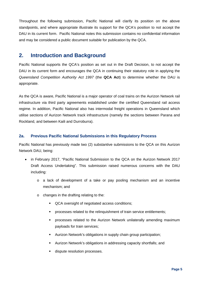Throughout the following submission, Pacific National will clarify its position on the above standpoints, and where appropriate illustrate its support for the QCA's position to not accept the DAU in its current form. Pacific National notes this submission contains no confidential information and may be considered a public document suitable for publication by the QCA.

## **2. Introduction and Background**

Pacific National supports the QCA's position as set out in the Draft Decision, to not accept the DAU in its current form and encourages the QCA in continuing their statutory role in applying the *Queensland Competition Authority Act 1997* (the **QCA Act**) to determine whether the DAU is appropriate.

As the QCA is aware, Pacific National is a major operator of coal trains on the Aurizon Network rail infrastructure via third party agreements established under the certified Queensland rail access regime. In addition, Pacific National also has intermodal freight operations in Queensland which utilise sections of Aurizon Network track infrastructure (namely the sections between Parana and Rockland, and between Kaili and Durroburra).

#### **2a. Previous Pacific National Submissions in this Regulatory Process**

Pacific National has previously made two (2) substantive submissions to the QCA on this Aurizon Network DAU, being:

- in February 2017, "Pacific National Submission to the QCA on the Aurizon Network 2017 Draft Access Undertaking". This submission raised numerous concerns with the DAU including:
	- o a lack of development of a take or pay pooling mechanism and an incentive mechanism; and
	- o changes in the drafting relating to the:
		- QCA oversight of negotiated access conditions;
		- **PEDEE SERVIER** processes related to the relinquishment of train service entitlements;
		- processes related to the Aurizon Network unilaterally amending maximum payloads for train services;
		- **EXTERGHT Aurizon Network's obligations in supply chain group participation;**
		- Aurizon Network's obligations in addressing capacity shortfalls; and
		- **dispute resolution processes.**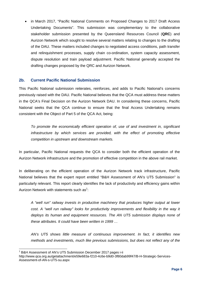• in March 2017, "Pacific National Comments on Proposed Changes to 2017 Draft Access Undertaking Documents". This submission was complementary to the collaborative stakeholder submission presented by the Queensland Resources Council (**QRC**) and Aurizon Network which sought to resolve several matters relating to changes to the drafting of the DAU. These matters included changes to negotiated access conditions, path transfer and relinquishment processes, supply chain co-ordination, system capacity assessment, dispute resolution and train payload adjustment. Pacific National generally accepted the drafting changes proposed by the QRC and Aurizon Network.

#### **2b. Current Pacific National Submission**

This Pacific National submission reiterates, reinforces, and adds to Pacific National's concerns previously raised with the DAU. Pacific National believes that the QCA must address these matters in the QCA's Final Decision on the Aurizon Network DAU. In considering these concerns, Pacific National seeks that the QCA continue to ensure that the final Access Undertaking remains consistent with the Object of Part 5 of the QCA Act, being:

*To promote the economically efficient operation of, use of and investment in, significant infrastructure by which services are provided, with the effect of promoting effective competition in upstream and downstream markets.* 

In particular, Pacific National requests the QCA to consider both the efficient operation of the Aurizon Network infrastructure and the promotion of effective competition in the above rail market.

In deliberating on the efficient operation of the Aurizon Network track infrastructure, Pacific National believes that the expert report entitled "B&H Assessment of AN's UT5 Submission" is particularly relevant. This report clearly identifies the lack of productivity and efficiency gains within Aurizon Network with statements such as<sup>1</sup>:

*A "well run" railway invests in productive machinery that produces higher output at lower*  cost. A "well run railway" looks for productivity improvements and flexibility in the way it *deploys its human and equipment resources. The AN UT5 submission displays none of these attributes. It could have been written in 1999 …* 

*AN's UT5 shows little measure of continuous improvement. In fact, it identifies new methods and investments, much like previous submissions, but does not reflect any of the* 

<sup>1</sup> B&H Assessment of AN's UT5 Submission December 2017 pages i-ii

http://www.qca.org.au/getattachment/e59e683a-f210-4c6e-b9d0-3f80dab99f47/B-H-Strategic-Services-Assessment-of-AN-s-UT5-su.aspx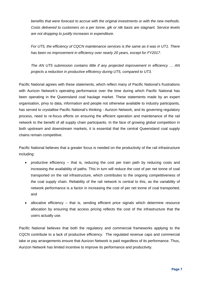*benefits that were forecast to accrue with the original investments or with the new methods. Costs delivered to customers on a per tonne, gtk or ntk basis are stagnant. Service levels are not dropping to justify increases in expenditure.* 

*For UT5, the efficiency of CQCN maintenance services is the same as it was in UT1. There has been no improvement in efficiency over nearly 20 years, except for FY2017.* 

*The AN UT5 submission contains little if any projected improvement in efficiency … AN projects a reduction in productive efficiency during UT5, compared to UT3.* 

Pacific National agrees with these statements, which reflect many of Pacific National's frustrations with Aurizon Network's operating performance over the time during which Pacific National has been operating in the Queensland coal haulage market. These statements made by an expert organisation, privy to data, information and people not otherwise available to industry participants, has served to crystallise Pacific National's thinking - Aurizon Network, and its governing regulatory process, need to re-focus efforts on ensuring the efficient operation and maintenance of the rail network to the benefit of all supply chain participants. In the face of growing global competition in both upstream and downstream markets, it is essential that the central Queensland coal supply chains remain competitive.

Pacific National believes that a greater focus is needed on the productivity of the rail infrastructure including:

- productive efficiency that is, reducing the cost per train path by reducing costs and increasing the availability of paths. This in turn will reduce the cost of per net tonne of coal transported on the rail infrastructure, which contributes to the ongoing competitiveness of the coal supply chain. Reliability of the rail network is central to this, as the variability of network performance is a factor in increasing the cost of per net tonne of coal transported; and
- allocative efficiency that is, sending efficient price signals which determine resource allocation by ensuring that access pricing reflects the cost of the infrastructure that the users actually use.

Pacific National believes that both the regulatory and commercial frameworks applying to the CQCN contribute to a lack of productive efficiency. The regulated revenue caps and commercial take or pay arrangements ensure that Aurizon Network is paid regardless of its performance. Thus, Aurizon Network has limited incentive to improve its performance and productivity.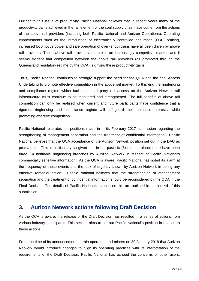Further to this issue of productivity Pacific National believes that in recent years many of the productivity gains achieved in the rail element of the coal supply chain have come from the actions of the above rail providers (including both Pacific National and Aurizon Operations). Operating improvements such as the introduction of electronically controlled pneumatic (**ECP**) braking, increased locomotive power and safe operation of over-length trains have all been driven by above rail providers. These above rail providers operate in an increasingly competitive market, and it seems evident that competition between the above rail providers (as promoted through the Queensland regulatory regime by the QCA) is driving these productivity gains.

Thus, Pacific National continues to strongly support the need for the QCA and the final Access Undertaking to promote effective competition in the above rail market. To this end the ringfencing and compliance regime which facilitates third party rail access on the Aurizon Network rail infrastructure must continue to be monitored and strengthened. The full benefits of above rail competition can only be realised when current and future participants have confidence that a rigorous ringfencing and compliance regime will safeguard their business interests, while promoting effective competition.

Pacific National reiterates the positions made in in its February 2017 submission regarding the strengthening of management separation and the treatment of confidential information. Pacific National believes that the QCA acceptance of the Aurizon Network position set out in the DAU as premature. This is particularly so given that in the past six (6) months alone, there have been three (3) notifiable ringfencing breaches by Aurizon Network in respect of Pacific National's commercially sensitive information. As the QCA is aware, Pacific National has noted its alarm at the frequency of these events and the lack of urgency shown by Aurizon Network in taking any effective remedial action. Pacific National believes that the strengthening of management separation and the treatment of confidential information should be reconsidered by the QCA in the Final Decision. The details of Pacific National's stance on this are outlined in section 4d of this submission.

### **3. Aurizon Network actions following Draft Decision**

As the QCA is aware, the release of the Draft Decision has resulted in a series of actions from various industry participants. This section aims to set out Pacific National's position in relation to these actions.

From the time of its announcement to train operators and miners on 30 January 2018 that Aurizon Network would introduce changes to align its operating practices with its interpretation of the requirements of the Draft Decision, Pacific National has echoed the concerns of other users.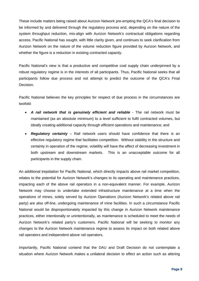These include matters being raised about Aurizon Network pre-empting the QCA's final decision to be informed by and delivered through the regulatory process and, depending on the nature of the system throughput reduction, mis-align with Aurizon Network's contractual obligations regarding access. Pacific National has sought, with little clarity given, and continues to seek clarification from Aurizon Network on the nature of the volume reduction figure provided by Aurizon Network, and whether the figure is a reduction in existing contracted capacity.

Pacific National's view is that a productive and competitive coal supply chain underpinned by a robust regulatory regime is in the interests of all participants. Thus, Pacific National seeks that all participants follow due process and not attempt to predict the outcome of the QCA's Final Decision.

Pacific National believes the key principles for respect of due process in the circumstances are twofold:

- *A rail network that is genuinely efficient and reliable* The rail network must be maintained (as an absolute minimum) to a level sufficient to fulfil contracted volumes, but ideally creating additional capacity through efficient operations and maintenance; and
- *Regulatory certainty* Rail network users should have confidence that there is an effective regulatory regime that facilitates competition. Without stability in the structure and certainty in operation of the regime, volatility will have the affect of decreasing investment in both upstream and downstream markets. This is an unacceptable outcome for all participants in the supply chain.

An additional trepidation for Pacific National, which directly impacts above rail market competition, relates to the potential for Aurizon Network's changes to its operating and maintenance practices, impacting each of the above rail operators in a non-equivalent manner. For example, Aurizon Network may choose to undertake extended infrastructure maintenance at a time when the operations of mines, solely served by Aurizon Operations (Aurizon Network's related above rail party) are also off-line, undergoing maintenance of mine facilities. In such a circumstance Pacific National would be disproportionately impacted by this change in Aurizon Network maintenance practices, either intentionally or unintentionally, as maintenance is scheduled to meet the needs of Aurizon Network's related party's customers. Pacific National will be seeking to monitor any changes to the Aurizon Network maintenance regime to assess its impact on both related above rail operators and independent above rail operators.

Importantly, Pacific National contend that the DAU and Draft Decision do not contemplate a situation where Aurizon Network makes a unilateral decision to effect an action such as altering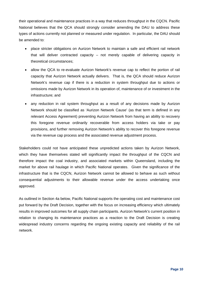their operational and maintenance practices in a way that reduces throughput in the CQCN. Pacific National believes that the QCA should strongly consider amending the DAU to address these types of actions currently not planned or measured under regulation. In particular, the DAU should be amended to:

- place stricter obligations on Aurizon Network to maintain a safe and efficient rail network that will deliver contracted capacity – not merely capable of delivering capacity in theoretical circumstances;
- allow the QCA to re-evaluate Aurizon Network's revenue cap to reflect the portion of rail capacity that Aurizon Network actually delivers. That is, the QCA should reduce Aurizon Network's revenue cap if there is a reduction in system throughput due to actions or omissions made by Aurizon Network in its operation of, maintenance of or investment in the infrastructure; and
- any reduction in rail system throughput as a result of any decisions made by Aurizon Network should be classified as 'Aurizon Network Cause' (as that term is defined in any relevant Access Agreement) preventing Aurizon Network from having an ability to recovery this foregone revenue ordinarily recoverable from access holders via take or pay provisions, and further removing Aurizon Network's ability to recover this foregone revenue via the revenue cap process and the associated revenue adjustment process.

Stakeholders could not have anticipated these unpredicted actions taken by Aurizon Network, which they have themselves stated will significantly impact the throughput of the CQCN and therefore impact the coal industry, and associated markets within Queensland, including the market for above rail haulage in which Pacific National operates. Given the significance of the infrastructure that is the CQCN, Aurizon Network cannot be allowed to behave as such without consequential adjustments to their allowable revenue under the access undertaking once approved.

As outlined in Section 4a below, Pacific National supports the operating cost and maintenance cost put forward by the Draft Decision, together with the focus on increasing efficiency which ultimately results in improved outcomes for all supply chain participants. Aurizon Network's current position in relation to changing its maintenance practices as a reaction to the Draft Decision is creating widespread industry concerns regarding the ongoing existing capacity and reliability of the rail network.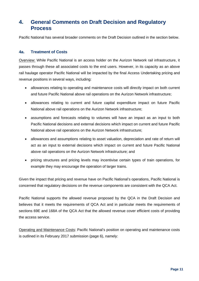## **4. General Comments on Draft Decision and Regulatory Process**

Pacific National has several broader comments on the Draft Decision outlined in the section below.

#### **4a. Treatment of Costs**

Overview: While Pacific National is an access holder on the Aurizon Network rail infrastructure, it passes through these all associated costs to the end users. However, in its capacity as an above rail haulage operator Pacific National will be impacted by the final Access Undertaking pricing and revenue positions in several ways, including:

- allowances relating to operating and maintenance costs will directly impact on both current and future Pacific National above rail operations on the Aurizon Network infrastructure;
- allowances relating to current and future capital expenditure impact on future Pacific National above rail operations on the Aurizon Network infrastructure;
- assumptions and forecasts relating to volumes will have an impact as an input to both Pacific National decisions and external decisions which impact on current and future Pacific National above rail operations on the Aurizon Network infrastructure;
- allowances and assumptions relating to asset valuation, depreciation and rate of return will act as an input to external decisions which impact on current and future Pacific National above rail operations on the Aurizon Network infrastructure; and
- pricing structures and pricing levels may incentivise certain types of train operations, for example they may encourage the operation of larger trains.

Given the impact that pricing and revenue have on Pacific National's operations, Pacific National is concerned that regulatory decisions on the revenue components are consistent with the QCA Act.

Pacific National supports the allowed revenue proposed by the QCA in the Draft Decision and believes that it meets the requirements of QCA Act and in particular meets the requirements of sections 69E and 168A of the QCA Act that the allowed revenue cover efficient costs of providing the access service.

Operating and Maintenance Costs: Pacific National's position on operating and maintenance costs is outlined in its February 2017 submission (page 6), namely: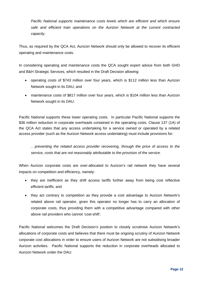*Pacific National supports maintenance costs levels which are efficient and which ensure safe and efficient train operations on the Aurizon Network at the current contracted capacity.* 

Thus, as required by the QCA Act, Aurizon Network should only be allowed to recover its efficient operating and maintenance costs.

In considering operating and maintenance costs the QCA sought expert advice from both GHD and B&H Strategic Services, which resulted in the Draft Decision allowing:

- operating costs of \$743 million over four years, which is \$112 million less than Aurizon Network sought in its DAU; and
- maintenance costs of \$817 million over four years, which is \$104 million less than Aurizon Network sought in its DAU.

Pacific National supports these lower operating costs. In particular Pacific National supports the \$36 million reduction in corporate overheads contained in the operating costs. Clause 137 (1A) of the QCA Act states that any access undertaking for a service owned or operated by a related access provider (such as the Aurizon Network access undertaking) must include provisions for:

*.. preventing the related access provider recovering, through the price of access to the service, costs that are not reasonably attributable to the provision of the service.* 

When Aurizon corporate costs are over-allocated to Aurizon's rail network they have several impacts on competition and efficiency, namely:

- they are inefficient as they shift access tariffs further away from being cost reflective efficient tariffs; and
- they act contrary to competition as they provide a cost advantage to Aurizon Network's related above rail operator, given this operator no longer has to carry an allocation of corporate costs, thus providing them with a competitive advantage compared with other above rail providers who cannot 'cost-shift'.

Pacific National welcomes the Draft Decision's position to closely scrutinise Aurizon Network's allocations of corporate costs and believes that there must be ongoing scrutiny of Aurizon Network corporate cost allocations in order to ensure users of Aurizon Network are not subsidising broader Aurizon activities. Pacific National supports the reduction in corporate overheads allocated to Aurizon Network under the DAU.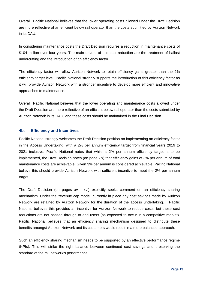Overall, Pacific National believes that the lower operating costs allowed under the Draft Decision are more reflective of an efficient below rail operator than the costs submitted by Aurizon Network in its DAU.

In considering maintenance costs the Draft Decision requires a reduction in maintenance costs of \$104 million over four years. The main drivers of this cost reduction are the treatment of ballast undercutting and the introduction of an efficiency factor.

The efficiency factor will allow Aurizon Network to retain efficiency gains greater than the 2% efficiency target level. Pacific National strongly supports the introduction of this efficiency factor as it will provide Aurizon Network with a stronger incentive to develop more efficient and innovative approaches to maintenance.

Overall, Pacific National believes that the lower operating and maintenance costs allowed under the Draft Decision are more reflective of an efficient below rail operator than the costs submitted by Aurizon Network in its DAU, and these costs should be maintained in the Final Decision.

#### **4b. Efficiency and Incentives**

Pacific National strongly welcomes the Draft Decision position on implementing an efficiency factor in the Access Undertaking, with a 2% per annum efficiency target from financial years 2019 to 2021 inclusive. Pacific National notes that while a 2% per annum efficiency target is to be implemented, the Draft Decision notes (on page xix) that efficiency gains of 3% per annum of total maintenance costs are achievable. Given 3% per annum is considered achievable, Pacific National believe this should provide Aurizon Network with sufficient incentive to meet the 2% per annum target.

The Draft Decision (on pages xv - xvi) explicitly seeks comment on an efficiency sharing mechanism. Under the 'revenue cap model' currently in place any cost savings made by Aurizon Network are retained by Aurizon Network for the duration of the access undertaking. Pacific National believes this provides an incentive for Aurizon Network to reduce costs, but these cost reductions are not passed through to end users (as expected to occur in a competitive market). Pacific National believes that an efficiency sharing mechanism designed to distribute these benefits amongst Aurizon Network and its customers would result in a more balanced approach.

Such an efficiency sharing mechanism needs to be supported by an effective performance regime (KPIs). This will strike the right balance between continued cost savings and preserving the standard of the rail network's performance.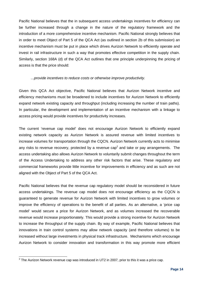Pacific National believes that the in subsequent access undertakings incentives for efficiency can be further increased through a change in the nature of the regulatory framework and the introduction of a more comprehensive incentive mechanism. Pacific National strongly believes that in order to meet Object of Part 5 of the QCA Act (as outlined in section 2b of this submission) an incentive mechanism must be put in place which drives Aurizon Network to efficiently operate and invest in rail infrastructure in such a way that promotes effective competition in the supply chain. Similarly, section 168A (d) of the QCA Act outlines that one principle underpinning the pricing of access is that the price should:

#### *...provide incentives to reduce costs or otherwise improve productivity.*

Given this QCA Act objective, Pacific National believes that Aurizon Network incentive and efficiency mechanisms must be broadened to include incentives for Aurizon Network to efficiently expand network existing capacity and throughput (including increasing the number of train paths). In particular, the development and implementation of an incentive mechanism with a linkage to access pricing would provide incentives for productivity increases.

The current 'revenue cap model' does not encourage Aurizon Network to efficiently expand existing network capacity as Aurizon Network is assured revenue with limited incentives to increase volumes for transportation through the CQCN. Aurizon Network currently acts to minimise any risks to revenue recovery, protected by a revenue cap<sup>2</sup> and take or pay arrangements. The access undertaking also allows Aurizon Network to voluntarily submit changes throughout the term of the Access Undertaking to address any other risk factors that arise. These regulatory and commercial frameworks provide little incentive for improvements in efficiency and as such are not aligned with the Object of Part 5 of the QCA Act.

Pacific National believes that the revenue cap regulatory model should be reconsidered in future access undertakings. The revenue cap model does not encourage efficiency as the CQCN is guaranteed to generate revenue for Aurizon Network with limited incentives to grow volumes or improve the efficiency of operations to the benefit of all parties. As an alternative, a 'price cap model' would secure a price for Aurizon Network, and as volumes increased the recoverable revenue would increase proportionately. This would provide a strong incentive for Aurizon Network to increase the throughput of the supply chain. By way of example, Pacific National believes that innovations in train control systems may allow network capacity (and therefore volumes) to be increased without large investments in physical track infrastructure. Mechanisms which encourage Aurizon Network to consider innovation and transformation in this way promote more efficient

 2 The Aurizon Network revenue cap was introduced in UT2 in 2007, prior to this it was a price cap.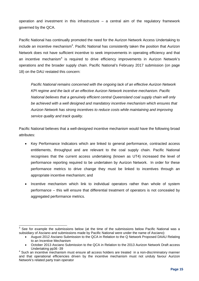operation and investment in this infrastructure – a central aim of the regulatory framework governed by the QCA.

Pacific National has continually promoted the need for the Aurizon Network Access Undertaking to include an incentive mechanism<sup>3</sup>. Pacific National has consistently taken the position that Aurizon Network does not have sufficient incentive to seek improvements in operating efficiency and that an incentive mechanism<sup>4</sup> is required to drive efficiency improvements in Aurizon Network's operations and the broader supply chain. Pacific National's February 2017 submission (on page 18) on the DAU restated this concern:

*Pacific National remains concerned with the ongoing lack of an effective Aurizon Network KPI regime and the lack of an effective Aurizon Network incentive mechanism. Pacific National believes that a genuinely efficient central Queensland coal supply chain will only be achieved with a well designed and mandatory incentive mechanism which ensures that Aurizon Network has strong incentives to reduce costs while maintaining and improving service quality and track quality.*

Pacific National believes that a well-designed incentive mechanism would have the following broad attributes:

- Key Performance Indicators which are linked to general performance, contracted access entitlements, throughput and are relevant to the coal supply chain. Pacific National recognises that the current access undertaking (known as UT4) increased the level of performance reporting required to be undertaken by Aurizon Network. In order for these performance metrics to drive change they must be linked to incentives through an appropriate incentive mechanism; and
- Incentive mechanism which link to individual operators rather than whole of system performance – this will ensure that differential treatment of operators is not concealed by aggregated performance metrics.

 $\overline{\phantom{a}}$ 3 See for example the submissions below (at the time of the submissions below Pacific National was a subsidiary of Asciano and submissions made by Pacific National were under the name of Asciano):

August 2012 Asciano Submission to the QCA in Relation to the Q Network Proposed DAAU Relating to an Incentive Mechanism

October 2013 Asciano Submission to the QCA in Relation to the 2013 Aurizon Network Draft access Undertaking pp36 -39 4

<sup>&</sup>lt;sup>4</sup> Such an incentive mechanism must ensure all access holders are treated in a non-discriminatory manner and that operational efficiencies driven by the incentive mechanism must not unduly favour Aurizon Network's related party train operator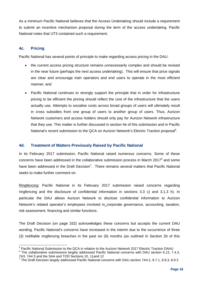As a minimum Pacific National believes that the Access Undertaking should include a requirement to submit an incentive mechanism proposal during the term of the access undertaking. Pacific National notes that UT3 contained such a requirement.

#### **4c. Pricing**

Pacific National has several points of principle to make regarding access pricing in the DAU:

- the current access pricing structure remains unnecessarily complex and should be revised in the near future (perhaps the next access undertaking). This will ensure that price signals are clear and encourage train operators and end users to operate in the most efficient manner; and
- Pacific National continues to strongly support the principle that in order for infrastructure pricing to be efficient the pricing should reflect the cost of the infrastructure that the users actually use. Attempts to socialise costs across broad groups of users will ultimately result in cross subsidies from one group of users to another group of users. Thus, Aurizon Network customers and access holders should only pay for Aurizon Network infrastructure that they use. This matter is further discussed in section 4e of this submission and in Pacific National's recent submission to the QCA on Aurizon Network's Electric Traction proposal<sup>5</sup>.

#### **4d. Treatment of Matters Previously Raised by Pacific National**

In its February 2017 submission, Pacific National raised numerous concerns. Some of these concerns have been addressed in the collaborative submission process in March 2017 $^6$  and some have been addressed in the Draft Decision<sup>7</sup>. There remains several matters that Pacific National seeks to make further comment on.

Ringfencing: Pacific National in its February 2017 submission raised concerns regarding ringfencing and the disclosure of confidential information in sections 3.3 c) and 3.1.3 h). In particular the DAU allows Aurizon Network to disclose confidential information to Aurizon Network's related operator's employees involved in corporate governance, accounting, taxation, risk assessment, financing and similar functions.

The Draft Decision (on page 332) acknowledges these concerns but accepts the current DAU wording. Pacific National's concerns have increased in the interim due to the occurrence of three (3) notifiable ringfencing breaches in the past six (6) months (as outlined in Section 2b of this

 5 Pacific National Submission to the QCA in relation to the Aurizon Network 2017 Electric Traction DAAU

 $6$  The collaborative submissions largely addressed Pacific National concerns with DAU section 6.13, 7.4.3, 7A3, 7A4.3 and the SAA and TOD Sections 10, 11and 12<br><sup>7</sup> The Draft Decision largely addressed Pacific National concerns with DAU section 7A4.2, 8.7.1, 8.8.3, 8.9.3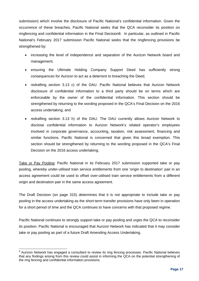submission) which involve the disclosure of Pacific National's confidential information. Given the occurrence of these breaches, Pacific National seeks that the QCA reconsider its position on ringfencing and confidential information in the Final Decision8. In particular, as outlined in Pacific National's February 2017 submission Pacific National seeks that the ringfencing provisions be strengthened by:

- increasing the level of independence and separation of the Aurizon Network board and management;
- ensuring the Ultimate Holding Company Support Deed has sufficiently strong consequences for Aurizon to act as a deterrent to breaching the Deed;
- redrafting section 3.13 c) of the DAU. Pacific National believes that Aurizon Network disclosure of confidential information to a third party should be on terms which are enforceable by the owner of the confidential information. This section should be strengthened by returning to the wording proposed in the QCA's Final Decision on the 2016 access undertaking; and
- redrafting section 3.13 h) of the DAU. The DAU currently allows Aurizon Network to disclose confidential information to Aurizon Network's related operator's employees involved in corporate governance, accounting, taxation, risk assessment, financing and similar functions. Pacific National is concerned that given this broad exemption. This section should be strengthened by returning to the wording proposed in the QCA's Final Decision on the 2016 access undertaking.

Take or Pay Pooling: Pacific National in its February 2017 submission supported take or pay pooling, whereby under-utilised train service entitlements from one 'origin to destination' pair in an access agreement could be used to offset over-utilised train service entitlements from a different origin and destination pair in the same access agreement.

The Draft Decision (on page 315) determines that it is not appropriate to include take or pay pooling in the access undertaking as the short-term transfer provisions have only been in operation for a short period of time and the QCA continues to have concerns with that proposed regime.

Pacific National continues to strongly support take or pay pooling and urges the QCA to reconsider its position. Pacific National is encouraged that Aurizon Network has indicated that it may consider take or pay pooling as part of a future Draft Amending Access Undertaking.

 <sup>8</sup> Aurizon Network has engaged a consultant to review its ring fencing processes. Pacific National believes that any findings arising from this review could assist in informing the QCA on the potential strengthening of the ring fencing and confidential information provisions.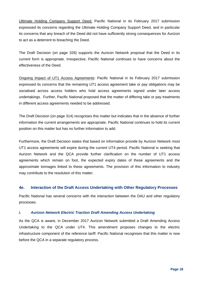Ultimate Holding Company Support Deed: Pacific National in its February 2017 submission expressed its concerns regarding the Ultimate Holding Company Support Deed, and in particular its concerns that any breach of the Deed did not have sufficiently strong consequences for Aurizon to act as a deterrent to breaching the Deed.

The Draft Decision (on page 326) supports the Aurizon Network proposal that the Deed in its current form is appropriate. Irrespective, Pacific National continues to have concerns about the effectiveness of the Deed.

Ongoing Impact of UT1 Access Agreements: Pacific National in its February 2017 submission expressed its concerns that the remaining UT1 access agreement take or pay obligations may be socialised across access holders who hold access agreements signed under later access undertakings. Further, Pacific National proposed that the matter of differing take or pay treatments in different access agreements needed to be addressed.

The Draft Decision (on page 314) recognises this matter but indicates that in the absence of further information the current arrangements are appropriate. Pacific National continues to hold its current position on this matter but has no further information to add.

Furthermore, the Draft Decision states that based on information provide by Aurizon Network most UT1 access agreements will expire during the current UT4 period. Pacific National is seeking that Aurizon Network and the QCA provide further clarification on the number of UT1 access agreements which remain on foot, the expected expiry dates of these agreements and the approximate tonnages linked to these agreements. The provision of this information to industry may contribute to the resolution of this matter.

#### **4e. Interaction of the Draft Access Undertaking with Other Regulatory Processes**

Pacific National has several concerns with the interaction between the DAU and other regulatory processes.

#### *i. Aurizon Network Electric Traction Draft Amending Access Undertaking*

As the QCA is aware, in December 2017 Aurizon Network submitted a Draft Amending Access Undertaking to the QCA under UT4. This amendment proposes changes to the electric infrastructure component of the reference tariff. Pacific National recognises that this matter is now before the QCA in a separate regulatory process.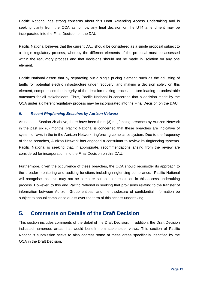Pacific National has strong concerns about this Draft Amending Access Undertaking and is seeking clarity from the QCA as to how any final decision on the UT4 amendment may be incorporated into the Final Decision on the DAU.

Pacific National believes that the current DAU should be considered as a single proposal subject to a single regulatory process, whereby the different elements of the proposal must be assessed within the regulatory process and that decisions should not be made in isolation on any one element.

Pacific National assert that by separating out a single pricing element, such as the adjusting of tariffs for potential electric infrastructure under recovery, and making a decision solely on this element, compromises the integrity of the decision making process, in turn leading to undesirable outcomes for all stakeholders. Thus, Pacific National is concerned that a decision made by the QCA under a different regulatory process may be incorporated into the Final Decision on the DAU.

#### *ii. Recent Ringfencing Breaches by Aurizon Network*

As noted in Section 2b above, there have been three (3) ringfencing breaches by Aurizon Network in the past six (6) months. Pacific National is concerned that these breaches are indicative of systemic flaws in the in the Aurizon Network ringfencing compliance system. Due to the frequency of these breaches, Aurizon Network has engaged a consultant to review its ringfencing systems. Pacific National is seeking that, if appropriate, recommendations arising from the review are considered for incorporation into the Final Decision on this DAU.

Furthermore, given the occurrence of these breaches, the QCA should reconsider its approach to the broader monitoring and auditing functions including ringfencing compliance. Pacific National will recognise that this may not be a matter suitable for resolution in this access undertaking process. However, to this end Pacific National is seeking that provisions relating to the transfer of information between Aurizon Group entities, and the disclosure of confidential information be subject to annual compliance audits over the term of this access undertaking.

### **5. Comments on Details of the Draft Decision**

This section includes comments of the detail of the Draft Decision. In addition, the Draft Decision indicated numerous areas that would benefit from stakeholder views. This section of Pacific National's submission seeks to also address some of these areas specifically identified by the QCA in the Draft Decision.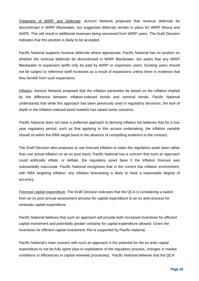Treatment of WIRP and Deferrals: Aurizon Network proposed that revenue deferrals be discontinued in WIRP Blackwater, but suggested deferrals remain in place for WIRP Moura and NAPE. This will result in additional revenues being recovered from WIRP users. The Draft Decision indicates that this position is likely to be accepted.

Pacific National supports revenue deferrals where appropriate. Pacific National has no position on whether the revenue deferrals be discontinued in WIRP Blackwater, but seeks that any WIRP Blackwater or expansion tariffs only be paid by WIRP or expansion users. Existing users should not be subject to reference tariff increases as a result of expansions unless there is evidence that they benefit from such expansions.

Inflation: Aurizon Network proposed that the inflation parameter be based on the inflation implied by the difference between inflation-indexed bonds and nominal bonds. Pacific National understands that while this approach has been previously used in regulatory decisions, the lack of depth in the inflation-indexed bond markets has raised some concerns.

Pacific National does not have a preferred approach to deriving inflation but believes that for a four year regulatory period, such as that applying to this access undertaking, the inflation variable should sit within the RBA target band in the absence of compelling evidence to the contrary.

The Draft Decision also proposes to use forecast inflation to index the regulatory asset base rather than use actual inflation on an ex post basis. Pacific National has a concern that such an approach could artificially inflate, or deflate, the regulatory asset base if the inflation forecast was substantially inaccurate. Pacific National recognises that in the current low inflation environment, with RBA targeting inflation, any inflation forecasting is likely to have a reasonable degree of accuracy.

Forecast capital expenditure: The Draft Decision indicates that the QCA is considering a switch from an *ex post* annual assessment process for capital expenditure to an *ex ante* process for renewals capital expenditure.

Pacific National believes that such an approach will provide both increased incentives for efficient capital investment and potentially greater certainty for capital expenditure allowed. Given the incentives for efficient capital investment, this is supported by Pacific National.

Pacific National's main concern with such an approach is the potential for the *ex ante* capital expenditure to not be fully spent (due to exploitation of the regulatory process, changes in market conditions or efficiencies in capital renewals processes). Pacific National believes that the QCA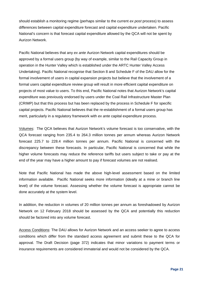should establish a monitoring regime (perhaps similar to the current *ex post* process) to assess differences between capital expenditure forecast and capital expenditure undertaken. Pacific National's concern is that forecast capital expenditure allowed by the QCA will not be spent by Aurizon Network.

Pacific National believes that any *ex ante* Aurizon Network capital expenditures should be approved by a formal users group (by way of example, similar to the Rail Capacity Group in operation in the Hunter Valley which is established under the ARTC Hunter Valley Access Undertaking). Pacific National recognise that Section 8 and Schedule F of the DAU allow for the formal involvement of users in capital expansion projects but believe that the involvement of a formal users capital expenditure review group will result in more efficient capital expenditure on projects of most value to users. To this end, Pacific National notes that Aurizon Network's capital expenditure was previously endorsed by users under the Coal Rail Infrastructure Master Plan (CRIMP) but that this process but has been replaced by the process in Schedule F for specific capital projects. Pacific National believes that the re-establishment of a formal users group has merit, particularly in a regulatory framework with *ex ante* capital expenditure process.

Volumes: The QCA believes that Aurizon Network's volume forecast is too conservative, with the QCA forecast ranging from 235.4 to 264.3 million tonnes per annum whereas Aurizon Network forecast 225.7 to 228.4 million tonnes per annum. Pacific National is concerned with the discrepancy between these forecasts. In particular, Pacific National is concerned that while the higher volume forecasts may reduce the reference tariffs but users subject to take or pay at the end of the year may have a higher amount to pay if forecast volumes are not realised.

Note that Pacific National has made the above high-level assessment based on the limited information available. Pacific National seeks more information (ideally at a mine or branch line level) of the volume forecast. Assessing whether the volume forecast is appropriate cannot be done accurately at the system level.

In addition, the reduction in volumes of 20 million tonnes per annum as foreshadowed by Aurizon Network on 12 February 2018 should be assessed by the QCA and potentially this reduction should be factored into any volume forecast.

Access Conditions: The DAU allows for Aurizon Network and an access seeker to agree to access conditions which differ from the standard access agreement and submit these to the QCA for approval. The Draft Decision (page 372) indicates that minor variations to payment terms or insurance requirements are considered immaterial and would not be considered by the QCA.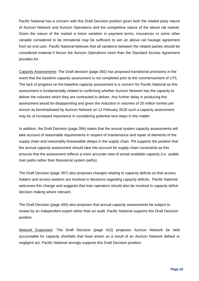Pacific National has a concern with this Draft Decision position given both the related party nature of Aurizon Network and Aurizon Operations and the competitive nature of the above rail market. Given the nature of the market a minor variation in payment terms, insurances or some other variable considered to be immaterial may be sufficient to win an above rail haulage agreement from an end user. Pacific National believes that all variations between the related parties should be considered material if favour the Aurizon Operations more than the Standard Access Agreement provides for.

Capacity Assessments: The Draft decision (page 392) has proposed transitional provisions in the event that the baseline capacity assessment is not completed prior to the commencement of UT5. The lack of progress on the baseline capacity assessment is a concern for Pacific National as this assessment is fundamentally related to confirming whether Aurizon Network has the capacity to deliver the volumes which they are contracted to deliver. Any further delay in producing this assessment would be disappointing and given the reduction in volumes of 20 million tonnes per annum as foreshadowed by Aurizon Network on 12 February 2018 such a capacity assessment may be of increased importance in considering potential next steps in this matter.

In addition, the Draft Decision (page 394) states that the annual system capacity assessments will take account of reasonable requirements in respect of maintenance and repair of elements of the supply chain and reasonably foreseeable delays in the supply chain. PN supports the position that the annual capacity assessment should take into account for supply chain constraints as this ensures that the assessment reflects a more accurate view of actual available capacity (i.e. usable train paths rather than theoretical system paths).

The Draft Decision (page 397) also proposes changes relating to capacity deficits so that access holders and access seekers are involved in decisions regarding capacity deficits. Pacific National welcomes this change and suggests that train operators should also be involved in capacity deficit decision making where relevant.

The Draft Decision (page 400) also proposes that annual capacity assessments be subject to review by an independent expert rather than an audit. Pacific National supports this Draft Decision position.

Network Expansion: The Draft Decision (page 415) proposes Aurizon Network be held accountable for capacity shortfalls that have arisen as a result of an Aurizon Network default or negligent act. Pacific National strongly supports this Draft Decision position.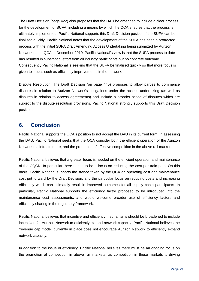The Draft Decision (page 422) also proposes that the DAU be amended to include a clear process for the development of SUFA, including a means by which the QCA ensures that the process is ultimately implemented. Pacific National supports this Draft Decision position if the SUFA can be finalised quickly. Pacific National notes that the development of the SUFA has been a protracted process with the initial SUFA Draft Amending Access Undertaking being submitted by Aurizon Network to the QCA in December 2010. Pacific National's view is that the SUFA process to date has resulted in substantial effort from all industry participants but no concrete outcome. Consequently Pacific National is seeking that the SUFA be finalised quickly so that more focus is given to issues such as efficiency improvements in the network.

Dispute Resolution: The Draft Decision (on page 445) proposes to allow parties to commence disputes in relation to Aurizon Network's obligations under the access undertaking (as well as disputes in relation to access agreements) and include a broader scope of disputes which are subject to the dispute resolution provisions. Pacific National strongly supports this Draft Decision position.

## **6. Conclusion**

Pacific National supports the QCA's position to not accept the DAU in its current form. In assessing the DAU, Pacific National seeks that the QCA consider both the efficient operation of the Aurizon Network rail infrastructure, and the promotion of effective competition in the above rail market.

Pacific National believes that a greater focus is needed on the efficient operation and maintenance of the CQCN. In particular there needs to be a focus on reducing the cost per train path. On this basis, Pacific National supports the stance taken by the QCA on operating cost and maintenance cost put forward by the Draft Decision, and the particular focus on reducing costs and increasing efficiency which can ultimately result in improved outcomes for all supply chain participants. In particular, Pacific National supports the efficiency factor proposed to be introduced into the maintenance cost assessments, and would welcome broader use of efficiency factors and efficiency sharing in the regulatory framework.

Pacific National believes that incentive and efficiency mechanisms should be broadened to include incentives for Aurizon Network to efficiently expand network capacity. Pacific National believes the 'revenue cap model' currently in place does not encourage Aurizon Network to efficiently expand network capacity.

In addition to the issue of efficiency, Pacific National believes there must be an ongoing focus on the promotion of competition in above rail markets, as competition in these markets is driving